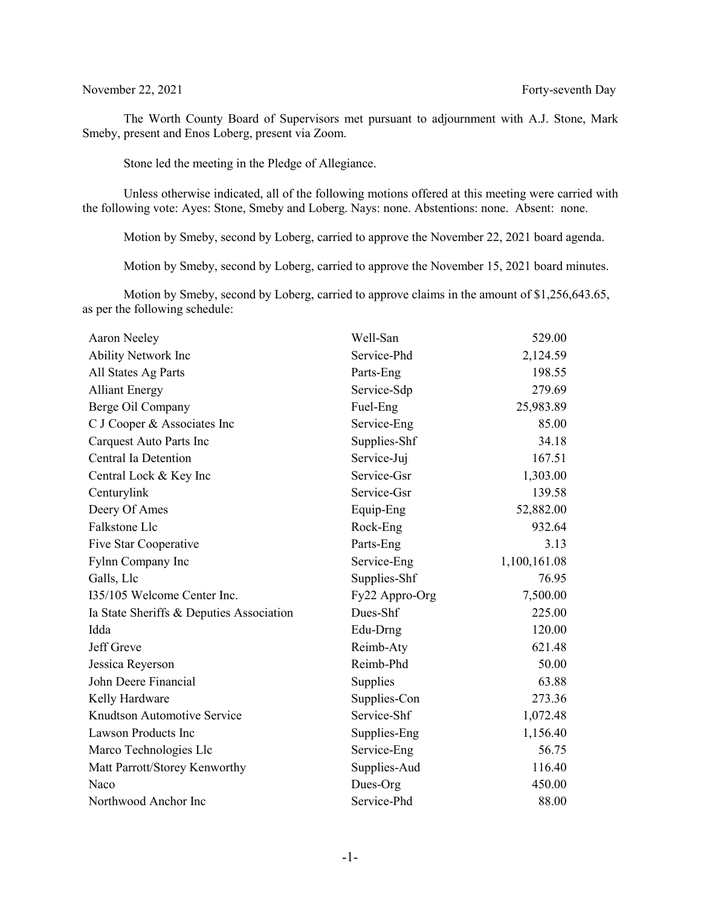## November 22, 2021 Forty-seventh Day

The Worth County Board of Supervisors met pursuant to adjournment with A.J. Stone, Mark Smeby, present and Enos Loberg, present via Zoom.

Stone led the meeting in the Pledge of Allegiance.

Unless otherwise indicated, all of the following motions offered at this meeting were carried with the following vote: Ayes: Stone, Smeby and Loberg. Nays: none. Abstentions: none. Absent: none.

Motion by Smeby, second by Loberg, carried to approve the November 22, 2021 board agenda.

Motion by Smeby, second by Loberg, carried to approve the November 15, 2021 board minutes.

Motion by Smeby, second by Loberg, carried to approve claims in the amount of \$1,256,643.65, as per the following schedule:

| Aaron Neeley                             | Well-San       | 529.00       |
|------------------------------------------|----------------|--------------|
| <b>Ability Network Inc</b>               | Service-Phd    | 2,124.59     |
| All States Ag Parts                      | Parts-Eng      | 198.55       |
| <b>Alliant Energy</b>                    | Service-Sdp    | 279.69       |
| Berge Oil Company                        | Fuel-Eng       | 25,983.89    |
| C J Cooper & Associates Inc              | Service-Eng    | 85.00        |
| Carquest Auto Parts Inc                  | Supplies-Shf   | 34.18        |
| Central Ia Detention                     | Service-Juj    | 167.51       |
| Central Lock & Key Inc                   | Service-Gsr    | 1,303.00     |
| Centurylink                              | Service-Gsr    | 139.58       |
| Deery Of Ames                            | Equip-Eng      | 52,882.00    |
| Falkstone Llc                            | Rock-Eng       | 932.64       |
| Five Star Cooperative                    | Parts-Eng      | 3.13         |
| Fylnn Company Inc                        | Service-Eng    | 1,100,161.08 |
| Galls, Llc                               | Supplies-Shf   | 76.95        |
| I35/105 Welcome Center Inc.              | Fy22 Appro-Org | 7,500.00     |
| Ia State Sheriffs & Deputies Association | Dues-Shf       | 225.00       |
| Idda                                     | Edu-Drng       | 120.00       |
| Jeff Greve                               | Reimb-Aty      | 621.48       |
| Jessica Reyerson                         | Reimb-Phd      | 50.00        |
| John Deere Financial                     | Supplies       | 63.88        |
| Kelly Hardware                           | Supplies-Con   | 273.36       |
| Knudtson Automotive Service              | Service-Shf    | 1,072.48     |
| <b>Lawson Products Inc</b>               | Supplies-Eng   | 1,156.40     |
| Marco Technologies Llc                   | Service-Eng    | 56.75        |
| Matt Parrott/Storey Kenworthy            | Supplies-Aud   | 116.40       |
| Naco                                     | Dues-Org       | 450.00       |
| Northwood Anchor Inc                     | Service-Phd    | 88.00        |